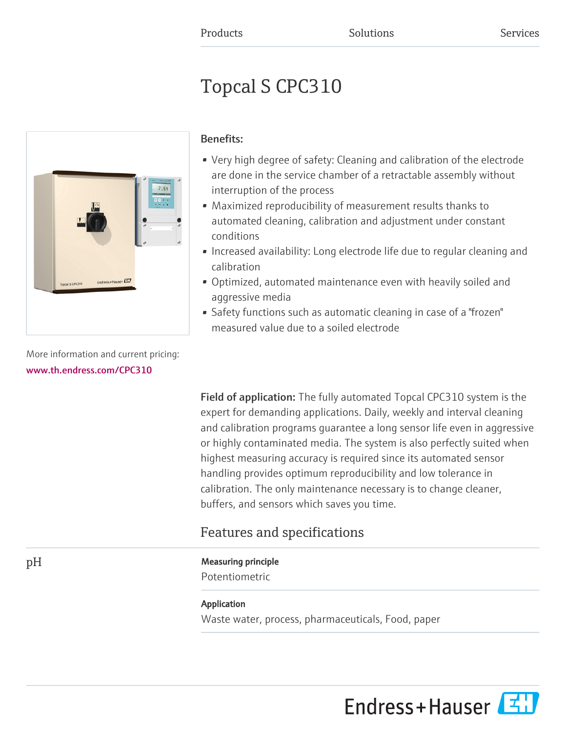# Topcal S CPC310



More information and current pricing: [www.th.endress.com/CPC310](https://www.th.endress.com/CPC310)

# Benefits:

- Very high degree of safety: Cleaning and calibration of the electrode are done in the service chamber of a retractable assembly without interruption of the process
- Maximized reproducibility of measurement results thanks to automated cleaning, calibration and adjustment under constant conditions
- Increased availability: Long electrode life due to regular cleaning and calibration
- Optimized, automated maintenance even with heavily soiled and aggressive media
- Safety functions such as automatic cleaning in case of a "frozen" measured value due to a soiled electrode

Field of application: The fully automated Topcal CPC310 system is the expert for demanding applications. Daily, weekly and interval cleaning and calibration programs guarantee a long sensor life even in aggressive or highly contaminated media. The system is also perfectly suited when highest measuring accuracy is required since its automated sensor handling provides optimum reproducibility and low tolerance in calibration. The only maintenance necessary is to change cleaner, buffers, and sensors which saves you time.

# Features and specifications

# pH Measuring principle

Potentiometric

### Application

Waste water, process, pharmaceuticals, Food, paper